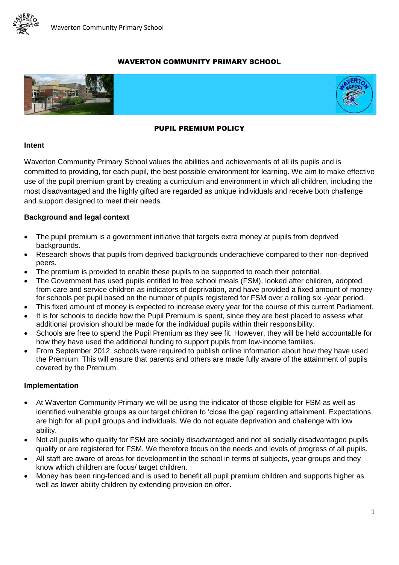

## WAVERTON COMMUNITY PRIMARY SCHOOL





#### PUPIL PREMIUM POLICY

#### **Intent**

Waverton Community Primary School values the abilities and achievements of all its pupils and is committed to providing, for each pupil, the best possible environment for learning. We aim to make effective use of the pupil premium grant by creating a curriculum and environment in which all children, including the most disadvantaged and the highly gifted are regarded as unique individuals and receive both challenge and support designed to meet their needs.

### **Background and legal context**

- The pupil premium is a government initiative that targets extra money at pupils from deprived backgrounds.
- Research shows that pupils from deprived backgrounds underachieve compared to their non-deprived peers.
- The premium is provided to enable these pupils to be supported to reach their potential.
- The Government has used pupils entitled to free school meals (FSM), looked after children, adopted from care and service children as indicators of deprivation, and have provided a fixed amount of money for schools per pupil based on the number of pupils registered for FSM over a rolling six -year period.
- This fixed amount of money is expected to increase every year for the course of this current Parliament.
- It is for schools to decide how the Pupil Premium is spent, since they are best placed to assess what additional provision should be made for the individual pupils within their responsibility.
- Schools are free to spend the Pupil Premium as they see fit. However, they will be held accountable for how they have used the additional funding to support pupils from low-income families.
- From September 2012, schools were required to publish online information about how they have used the Premium. This will ensure that parents and others are made fully aware of the attainment of pupils covered by the Premium.

### **Implementation**

- At Waverton Community Primary we will be using the indicator of those eligible for FSM as well as identified vulnerable groups as our target children to 'close the gap' regarding attainment. Expectations are high for all pupil groups and individuals. We do not equate deprivation and challenge with low ability.
- Not all pupils who qualify for FSM are socially disadvantaged and not all socially disadvantaged pupils qualify or are registered for FSM. We therefore focus on the needs and levels of progress of all pupils.
- All staff are aware of areas for development in the school in terms of subjects, year groups and they know which children are focus/ target children.
- Money has been ring-fenced and is used to benefit all pupil premium children and supports higher as well as lower ability children by extending provision on offer.